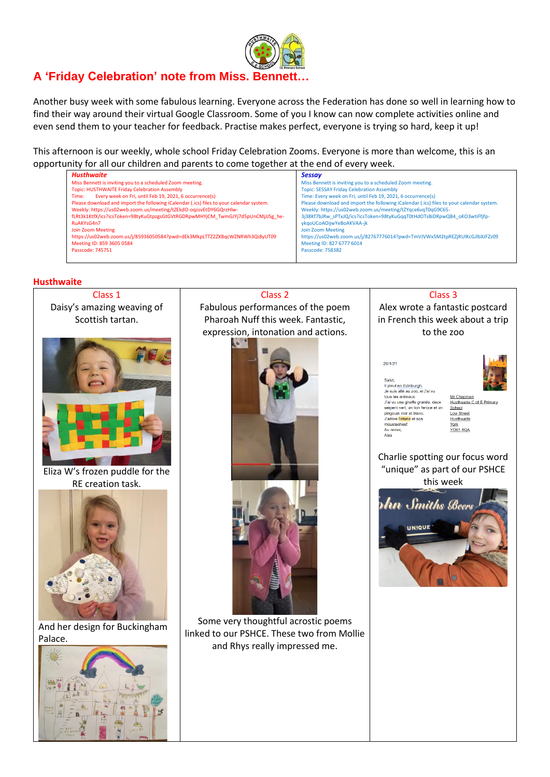

# **A 'Friday Celebration' note from Miss. Bennett…**

Another busy week with some fabulous learning. Everyone across the Federation has done so well in learning how to find their way around their virtual Google Classroom. Some of you I know can now complete activities online and even send them to your teacher for feedback. Practise makes perfect, everyone is trying so hard, keep it up!

This afternoon is our weekly, whole school Friday Celebration Zooms. Everyone is more than welcome, this is an opportunity for all our children and parents to come together at the end of every week.

| <b>Husthwaite</b>                                                                        | <b>Sessay</b>                                                                            |
|------------------------------------------------------------------------------------------|------------------------------------------------------------------------------------------|
| Miss Bennett is inviting you to a scheduled Zoom meeting.                                | Miss Bennett is inviting you to a scheduled Zoom meeting.                                |
| Topic: HUSTHWAITE Friday Celebration Assembly                                            | <b>Topic: SESSAY Friday Celebration Assembly</b>                                         |
| Every week on Fri, until Feb 19, 2021, 6 occurrence(s)<br>Time:                          | Time: Every week on Fri, until Feb 19, 2021, 6 occurrence(s)                             |
| Please download and import the following iCalendar (.ics) files to your calendar system. | Please download and import the following iCalendar (.ics) files to your calendar system. |
| Weekly: https://us02web.zoom.us/meeting/tZEkdO-ogzsvEtDY6GQrzHlw-                        | Weekly: https://us02web.zoom.us/meeting/tZYqce6vqT0qG9C65-                               |
| fLRt3k1KtfX/ics?icsToken=98tyKuGtpzgsGtGVtRGDRpwMHYjCM TwmGJYj7d5pUnCMjJJSg he-          | 3j38Kf7bJRw sPTxJQ/ics?icsToken=98tyKuGqqT0tHdOTsBiDRpwQB4 oKO3wtiFfjfp-                 |
| RuAKYsG4n7                                                                               | ykgoUCoAOijwYeBoAKVAA-jk                                                                 |
| Join Zoom Meeting                                                                        | Join Zoom Meeting                                                                        |
| https://us02web.zoom.us/j/85936050584?pwd=dEk3MkpLTTZ2ZXBqcWZNRWh3Qi8yUT09               | https://us02web.zoom.us/j/82767776014?pwd=TmVJVWx5M2tpREZjRUlKcGJlbXJFZz09               |
| Meeting ID: 859 3605 0584                                                                | Meeting ID: 827 6777 6014                                                                |
| Passcode: 745751                                                                         | Passcode: 758382                                                                         |

#### **Husthwaite**

# Class 1 Class 2 Class 3 Daisy's amazing weaving of Fabulous performances of the poem Alex wrote a fantastic postcard Scottish tartan. Pharoah Nuff this week. Fantastic, in French this week about a trip expression, intonation and actions. to the zoo 26/1/21 Salut. Saiut,<br>Il pleut <u>en Edinburgh.</u><br>Je suis allé au zoo, et j'ai vu<br>tous les animaux. Mr Chapman<br>Husthwaite C of E Primary J'ai vu une giraffe grande, deux server dire girante grande, deux<br>serpent vert, un lion feroce et un<br>gingouin noir et blanc.<br>J'adore <mark>l'otarie</mark> et <u>son</u> School Low Street J'adore <mark>l'o</mark><br>moustach<br>Au revoir,<br>Alex Husthwaite <u>York</u><br>YO61 4QA Charlie spotting our focus word "unique" as part of our PSHCE Eliza W's frozen puddle for the this weekRE creation task. **shn Smiths Beer IINIQUE** Some very thoughtful acrostic poems And her design for Buckingham linked to our PSHCE. These two from Mollie Palace. and Rhys really impressed me.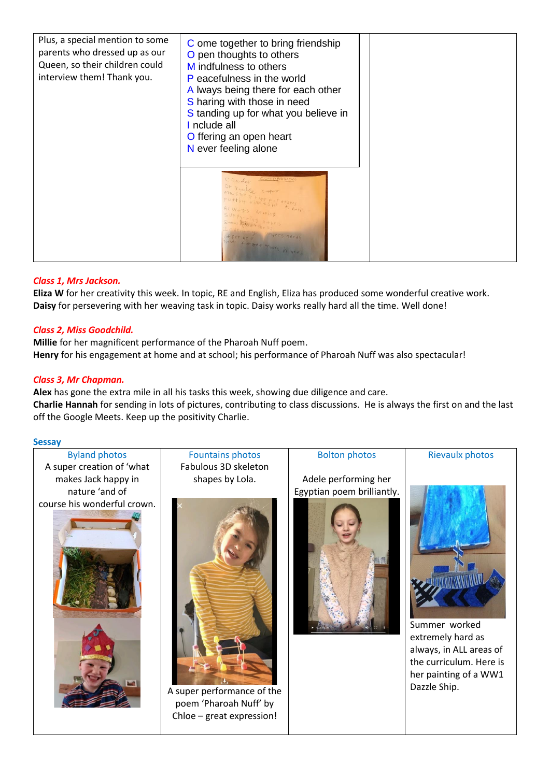

# *Class 1, Mrs Jackson.*

**Eliza W** for her creativity this week. In topic, RE and English, Eliza has produced some wonderful creative work. **Daisy** for persevering with her weaving task in topic. Daisy works really hard all the time. Well done!

# *Class 2, Miss Goodchild.*

**Millie** for her magnificent performance of the Pharoah Nuff poem. **Henry** for his engagement at home and at school; his performance of Pharoah Nuff was also spectacular!

## *Class 3, Mr Chapman.*

**Alex** has gone the extra mile in all his tasks this week, showing due diligence and care. **Charlie Hannah** for sending in lots of pictures, contributing to class discussions. He is always the first on and the last off the Google Meets. Keep up the positivity Charlie.

## **Sessay**

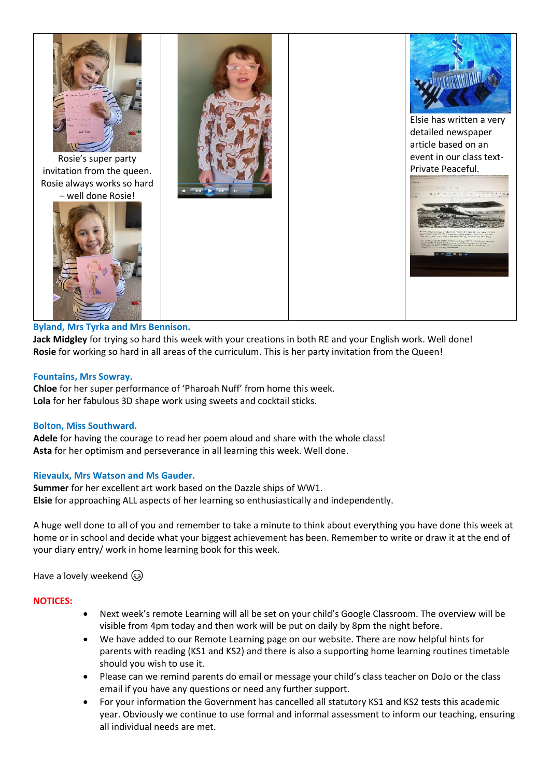

Rosie's super party invitation from the queen. Rosie always works so hard – well done Rosie!







Elsie has written a very detailed newspaper article based on an event in our class text-Private Peaceful.



# **Byland, Mrs Tyrka and Mrs Bennison.**

**Jack Midgley** for trying so hard this week with your creations in both RE and your English work. Well done! **Rosie** for working so hard in all areas of the curriculum. This is her party invitation from the Queen!

#### **Fountains, Mrs Sowray.**

**Chloe** for her super performance of 'Pharoah Nuff' from home this week. **Lola** for her fabulous 3D shape work using sweets and cocktail sticks.

#### **Bolton, Miss Southward.**

**Adele** for having the courage to read her poem aloud and share with the whole class! **Asta** for her optimism and perseverance in all learning this week. Well done.

## **Rievaulx, Mrs Watson and Ms Gauder.**

**Summer** for her excellent art work based on the Dazzle ships of WW1. **Elsie** for approaching ALL aspects of her learning so enthusiastically and independently.

A huge well done to all of you and remember to take a minute to think about everything you have done this week at home or in school and decide what your biggest achievement has been. Remember to write or draw it at the end of your diary entry/ work in home learning book for this week.

Have a lovely weekend  $\circled{e}$ 

## **NOTICES:**

- Next week's remote Learning will all be set on your child's Google Classroom. The overview will be visible from 4pm today and then work will be put on daily by 8pm the night before.
- We have added to our Remote Learning page on our website. There are now helpful hints for parents with reading (KS1 and KS2) and there is also a supporting home learning routines timetable should you wish to use it.
- Please can we remind parents do email or message your child's class teacher on DoJo or the class email if you have any questions or need any further support.
- For your information the Government has cancelled all statutory KS1 and KS2 tests this academic year. Obviously we continue to use formal and informal assessment to inform our teaching, ensuring all individual needs are met.